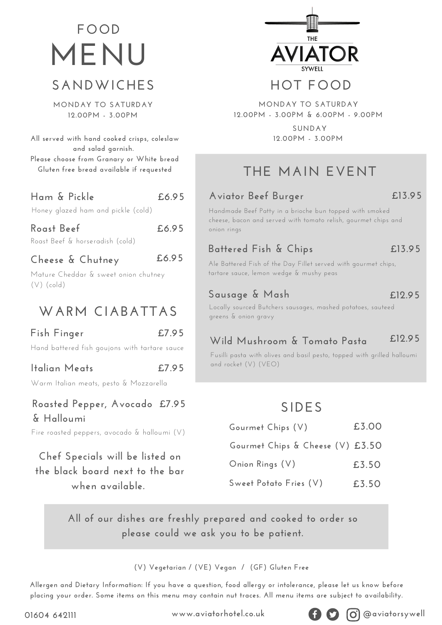# **SANDWICHES MENU FOOD**

**MONDAY TO SATURDAY 12.00PM - 3.00PM**

**All served with hand cooked crisps, coleslaw and salad garnish. Please choose from Granary or White bread Gluten free bread available if requested**

| Ham & Pickle                       | £6.95 |
|------------------------------------|-------|
| Honey glazed ham and pickle (cold) |       |

#### **Roast Beef £6.95**

Roast Beef & horseradish (cold)

#### **Cheese & Chutney**

Mature Cheddar & sweet onion chutney (V) (cold)

### **WARM CIABATTAS**

#### **Fish Finger**

**£7.95**

**£7.95**

**£6.95**

Hand battered fish goujons with tartare sauce

#### **Italian Meats**

Warm Italian meats, pesto & Mozzarella

#### **Roasted Pepper, Avocado £7.95 & Halloumi**

Fire roasted peppers, avocado & halloumi (V)

### **Chef Specials will be listed on the black board next to the bar when available.**



### **HOT FOOD**

**MONDAY TO SATURDAY 12.00PM - 3.00PM & 6.00PM - 9.00PM**

> **SUNDAY 12.00PM - 3.00PM**

## **THE MAIN EVENT**

#### **Aviator Beef Burger**

**£13.95**

Handmade Beef Patty in a brioche bun topped with smoked cheese, bacon and served with tomato relish, gourmet chips and onion rings

#### **Battered Fish & Chips**

**£13.95**

**£12.95**

Ale Battered Fish of the Day Fillet served with gourmet chips, tartare sauce, lemon wedge & mushy peas

#### **Sausage & Mash**

Locally sourced Butchers sausages, mashed potatoes, sauteed greens & onion gravy

#### **Wild Mushroom & Tomato Pasta £12.95**

Fusilli pasta with olives and basil pesto, topped with grilled halloumi and rocket (V) (VEO)

### **SIDES**

| Gourmet Chips (V)                | £3.00 |
|----------------------------------|-------|
| Gourmet Chips & Cheese (V) £3.50 |       |
| Onion Rings (V)                  | £3.50 |
| Sweet Potato Fries (V)           | £3.50 |

**All of our dishes are freshly prepared and cooked to order so please could we ask you to be patient.**

#### **(V) Vegetarian / (VE) Vegan / (GF) Gluten Free**

Allergen and Dietary Information: If you have a question, food allergy or intolerance, please let us know before placing your order. Some items on this menu may contain nut traces. All menu items are subject to availability.